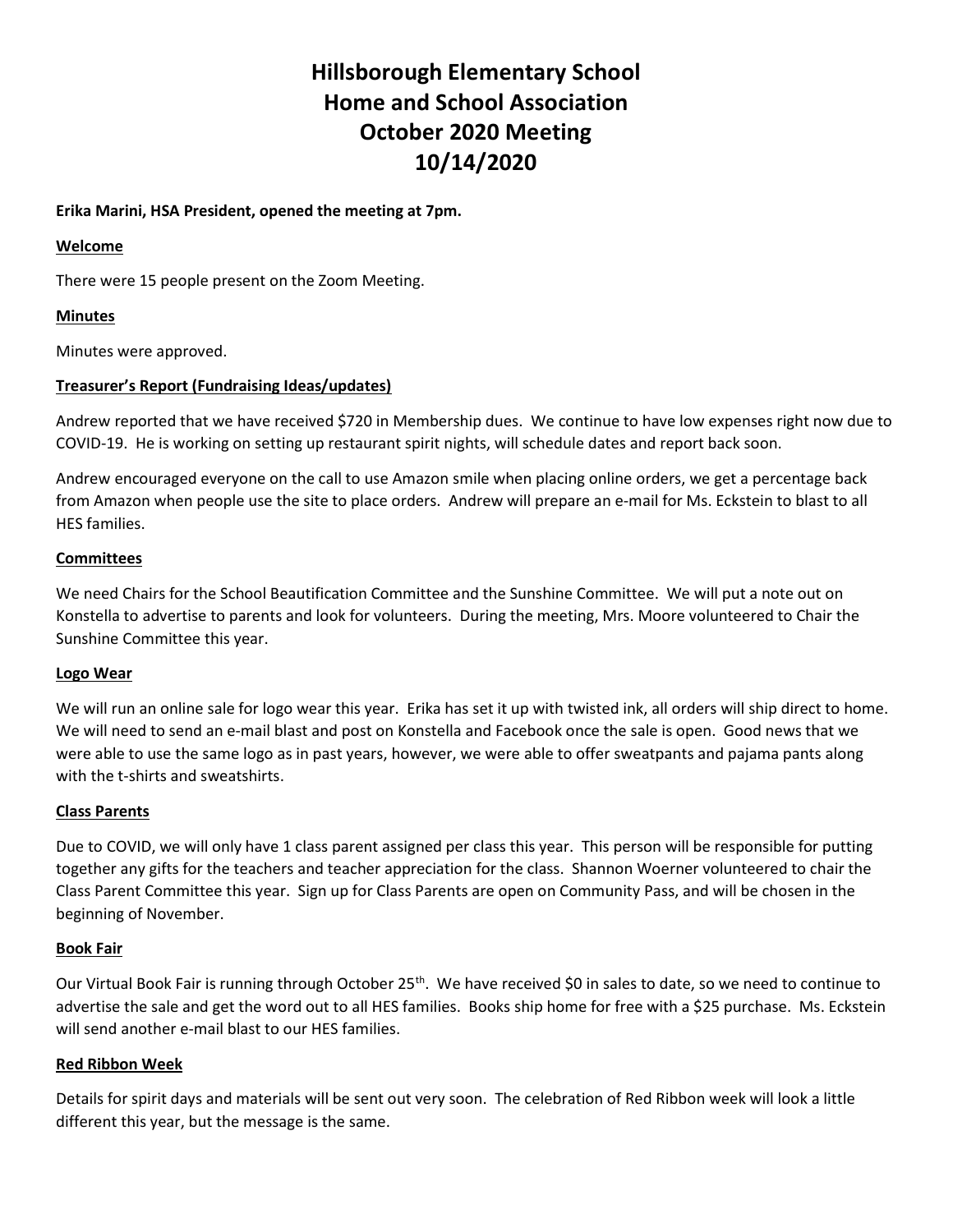# Hillsborough Elementary School Home and School Association October 2020 Meeting 10/14/2020

### Erika Marini, HSA President, opened the meeting at 7pm.

#### Welcome

There were 15 people present on the Zoom Meeting.

# Minutes

Minutes were approved.

# Treasurer's Report (Fundraising Ideas/updates)

Andrew reported that we have received \$720 in Membership dues. We continue to have low expenses right now due to COVID-19. He is working on setting up restaurant spirit nights, will schedule dates and report back soon.

Andrew encouraged everyone on the call to use Amazon smile when placing online orders, we get a percentage back from Amazon when people use the site to place orders. Andrew will prepare an e-mail for Ms. Eckstein to blast to all HES families.

#### **Committees**

We need Chairs for the School Beautification Committee and the Sunshine Committee. We will put a note out on Konstella to advertise to parents and look for volunteers. During the meeting, Mrs. Moore volunteered to Chair the Sunshine Committee this year.

#### Logo Wear

We will run an online sale for logo wear this year. Erika has set it up with twisted ink, all orders will ship direct to home. We will need to send an e-mail blast and post on Konstella and Facebook once the sale is open. Good news that we were able to use the same logo as in past years, however, we were able to offer sweatpants and pajama pants along with the t-shirts and sweatshirts.

#### Class Parents

Due to COVID, we will only have 1 class parent assigned per class this year. This person will be responsible for putting together any gifts for the teachers and teacher appreciation for the class. Shannon Woerner volunteered to chair the Class Parent Committee this year. Sign up for Class Parents are open on Community Pass, and will be chosen in the beginning of November.

#### Book Fair

Our Virtual Book Fair is running through October 25<sup>th</sup>. We have received \$0 in sales to date, so we need to continue to advertise the sale and get the word out to all HES families. Books ship home for free with a \$25 purchase. Ms. Eckstein will send another e-mail blast to our HES families.

# Red Ribbon Week

Details for spirit days and materials will be sent out very soon. The celebration of Red Ribbon week will look a little different this year, but the message is the same.